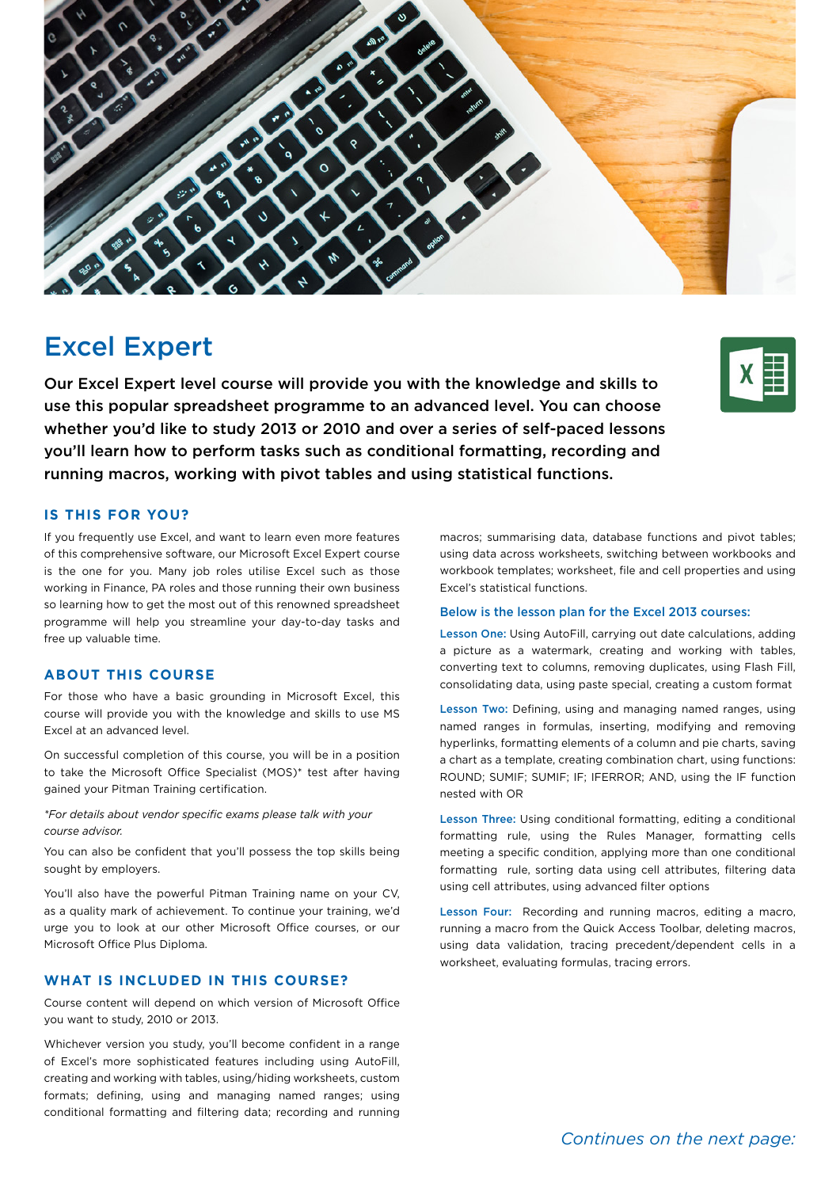

# Excel Expert

Our Excel Expert level course will provide you with the knowledge and skills to use this popular spreadsheet programme to an advanced level. You can choose whether you'd like to study 2013 or 2010 and over a series of self-paced lessons you'll learn how to perform tasks such as conditional formatting, recording and running macros, working with pivot tables and using statistical functions.

## **IS THIS FOR YOU?**

If you frequently use Excel, and want to learn even more features of this comprehensive software, our Microsoft Excel Expert course is the one for you. Many job roles utilise Excel such as those working in Finance, PA roles and those running their own business so learning how to get the most out of this renowned spreadsheet programme will help you streamline your day-to-day tasks and free up valuable time.

#### **ABOUT THIS COURSE**

For those who have a basic grounding in Microsoft Excel, this course will provide you with the knowledge and skills to use MS Excel at an advanced level.

On successful completion of this course, you will be in a position to take the Microsoft Office Specialist (MOS)\* test after having gained your Pitman Training certification.

*\*For details about vendor specific exams please talk with your course advisor.*

You can also be confident that you'll possess the top skills being sought by employers.

You'll also have the powerful Pitman Training name on your CV, as a quality mark of achievement. To continue your training, we'd urge you to look at our other Microsoft Office courses, or our Microsoft Office Plus Diploma.

# **WHAT IS INCLUDED IN THIS COURSE?**

Course content will depend on which version of Microsoft Office you want to study, 2010 or 2013.

Whichever version you study, you'll become confident in a range of Excel's more sophisticated features including using AutoFill, creating and working with tables, using/hiding worksheets, custom formats; defining, using and managing named ranges; using conditional formatting and filtering data; recording and running

macros; summarising data, database functions and pivot tables; using data across worksheets, switching between workbooks and workbook templates; worksheet, file and cell properties and using Excel's statistical functions.

#### Below is the lesson plan for the Excel 2013 courses:

Lesson One: Using AutoFill, carrying out date calculations, adding a picture as a watermark, creating and working with tables, converting text to columns, removing duplicates, using Flash Fill, consolidating data, using paste special, creating a custom format

Lesson Two: Defining, using and managing named ranges, using named ranges in formulas, inserting, modifying and removing hyperlinks, formatting elements of a column and pie charts, saving a chart as a template, creating combination chart, using functions: ROUND; SUMIF; SUMIF; IF; IFERROR; AND, using the IF function nested with OR

Lesson Three: Using conditional formatting, editing a conditional formatting rule, using the Rules Manager, formatting cells meeting a specific condition, applying more than one conditional formatting rule, sorting data using cell attributes, filtering data using cell attributes, using advanced filter options

Lesson Four: Recording and running macros, editing a macro, running a macro from the Quick Access Toolbar, deleting macros, using data validation, tracing precedent/dependent cells in a worksheet, evaluating formulas, tracing errors.